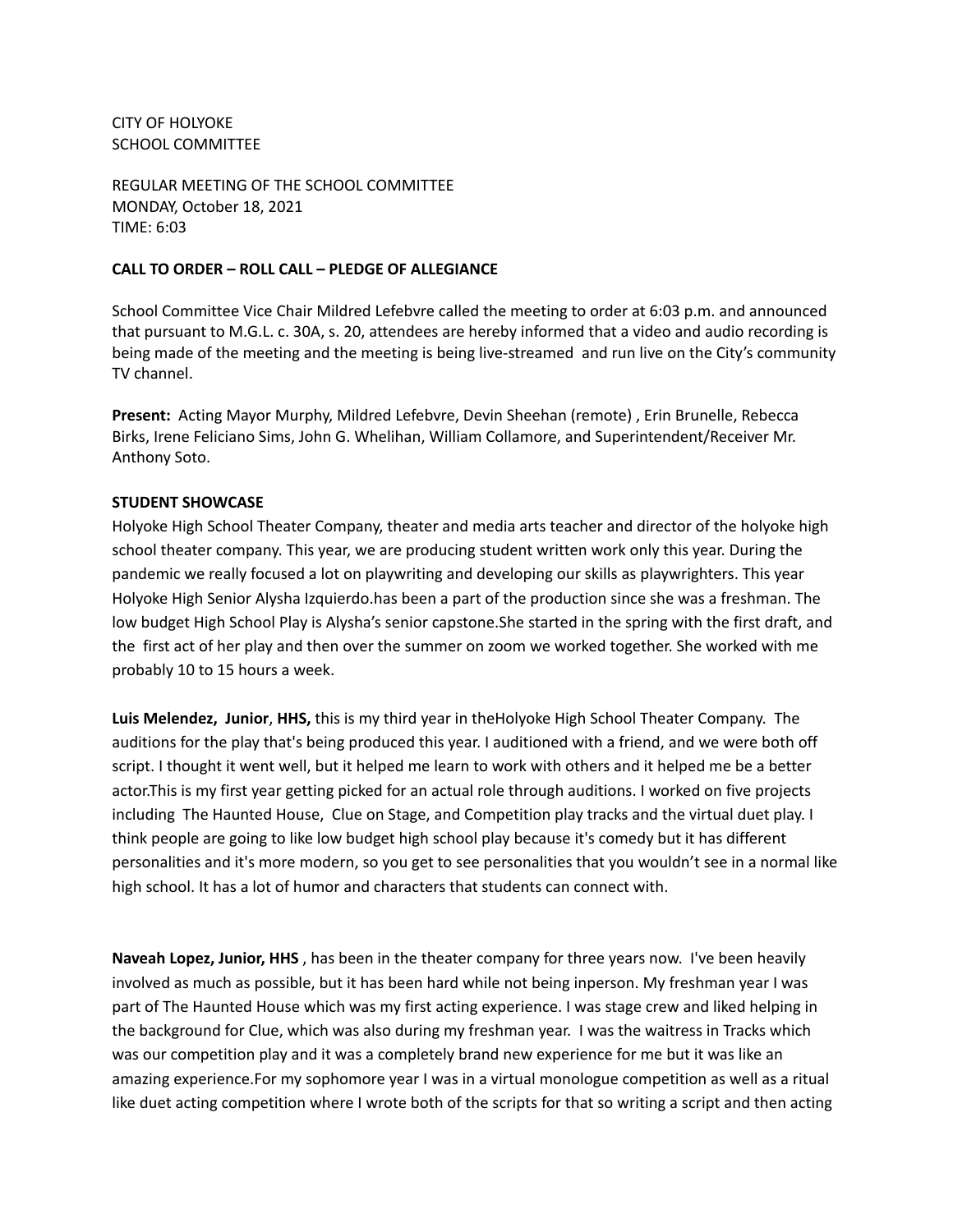CITY OF HOLYOKE SCHOOL COMMITTEE

REGULAR MEETING OF THE SCHOOL COMMITTEE MONDAY, October 18, 2021 TIME: 6:03

#### **CALL TO ORDER – ROLL CALL – PLEDGE OF ALLEGIANCE**

School Committee Vice Chair Mildred Lefebvre called the meeting to order at 6:03 p.m. and announced that pursuant to M.G.L. c. 30A, s. 20, attendees are hereby informed that a video and audio recording is being made of the meeting and the meeting is being live-streamed and run live on the City's community TV channel.

**Present:** Acting Mayor Murphy, Mildred Lefebvre, Devin Sheehan (remote) , Erin Brunelle, Rebecca Birks, Irene Feliciano Sims, John G. Whelihan, William Collamore, and Superintendent/Receiver Mr. Anthony Soto.

#### **STUDENT SHOWCASE**

Holyoke High School Theater Company, theater and media arts teacher and director of the holyoke high school theater company. This year, we are producing student written work only this year. During the pandemic we really focused a lot on playwriting and developing our skills as playwrighters. This year Holyoke High Senior Alysha Izquierdo.has been a part of the production since she was a freshman. The low budget High School Play is Alysha's senior capstone.She started in the spring with the first draft, and the first act of her play and then over the summer on zoom we worked together. She worked with me probably 10 to 15 hours a week.

**Luis Melendez, Junior**, **HHS,** this is my third year in theHolyoke High School Theater Company. The auditions for the play that's being produced this year. I auditioned with a friend, and we were both off script. I thought it went well, but it helped me learn to work with others and it helped me be a better actor.This is my first year getting picked for an actual role through auditions. I worked on five projects including The Haunted House, Clue on Stage, and Competition play tracks and the virtual duet play. I think people are going to like low budget high school play because it's comedy but it has different personalities and it's more modern, so you get to see personalities that you wouldn't see in a normal like high school. It has a lot of humor and characters that students can connect with.

**Naveah Lopez, Junior, HHS** , has been in the theater company for three years now. I've been heavily involved as much as possible, but it has been hard while not being inperson. My freshman year I was part of The Haunted House which was my first acting experience. I was stage crew and liked helping in the background for Clue, which was also during my freshman year. I was the waitress in Tracks which was our competition play and it was a completely brand new experience for me but it was like an amazing experience.For my sophomore year I was in a virtual monologue competition as well as a ritual like duet acting competition where I wrote both of the scripts for that so writing a script and then acting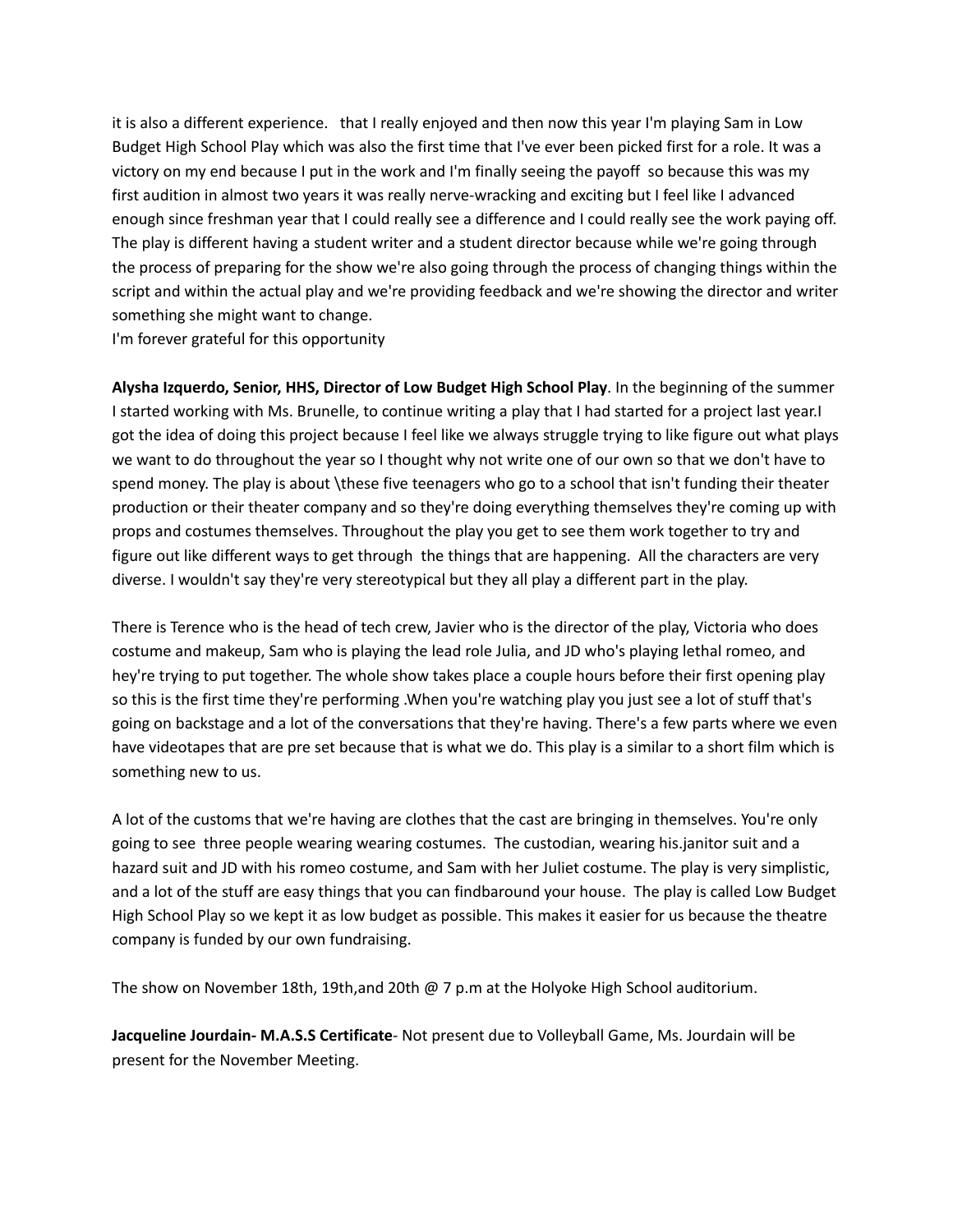it is also a different experience. that I really enjoyed and then now this year I'm playing Sam in Low Budget High School Play which was also the first time that I've ever been picked first for a role. It was a victory on my end because I put in the work and I'm finally seeing the payoff so because this was my first audition in almost two years it was really nerve-wracking and exciting but I feel like I advanced enough since freshman year that I could really see a difference and I could really see the work paying off. The play is different having a student writer and a student director because while we're going through the process of preparing for the show we're also going through the process of changing things within the script and within the actual play and we're providing feedback and we're showing the director and writer something she might want to change.

I'm forever grateful for this opportunity

**Alysha Izquerdo, Senior, HHS, Director of Low Budget High School Play**. In the beginning of the summer I started working with Ms. Brunelle, to continue writing a play that I had started for a project last year.I got the idea of doing this project because I feel like we always struggle trying to like figure out what plays we want to do throughout the year so I thought why not write one of our own so that we don't have to spend money. The play is about \these five teenagers who go to a school that isn't funding their theater production or their theater company and so they're doing everything themselves they're coming up with props and costumes themselves. Throughout the play you get to see them work together to try and figure out like different ways to get through the things that are happening. All the characters are very diverse. I wouldn't say they're very stereotypical but they all play a different part in the play.

There is Terence who is the head of tech crew, Javier who is the director of the play, Victoria who does costume and makeup, Sam who is playing the lead role Julia, and JD who's playing lethal romeo, and hey're trying to put together. The whole show takes place a couple hours before their first opening play so this is the first time they're performing .When you're watching play you just see a lot of stuff that's going on backstage and a lot of the conversations that they're having. There's a few parts where we even have videotapes that are pre set because that is what we do. This play is a similar to a short film which is something new to us.

A lot of the customs that we're having are clothes that the cast are bringing in themselves. You're only going to see three people wearing wearing costumes. The custodian, wearing his.janitor suit and a hazard suit and JD with his romeo costume, and Sam with her Juliet costume. The play is very simplistic, and a lot of the stuff are easy things that you can findbaround your house. The play is called Low Budget High School Play so we kept it as low budget as possible. This makes it easier for us because the theatre company is funded by our own fundraising.

The show on November 18th, 19th,and 20th @ 7 p.m at the Holyoke High School auditorium.

**Jacqueline Jourdain- M.A.S.S Certificate**- Not present due to Volleyball Game, Ms. Jourdain will be present for the November Meeting.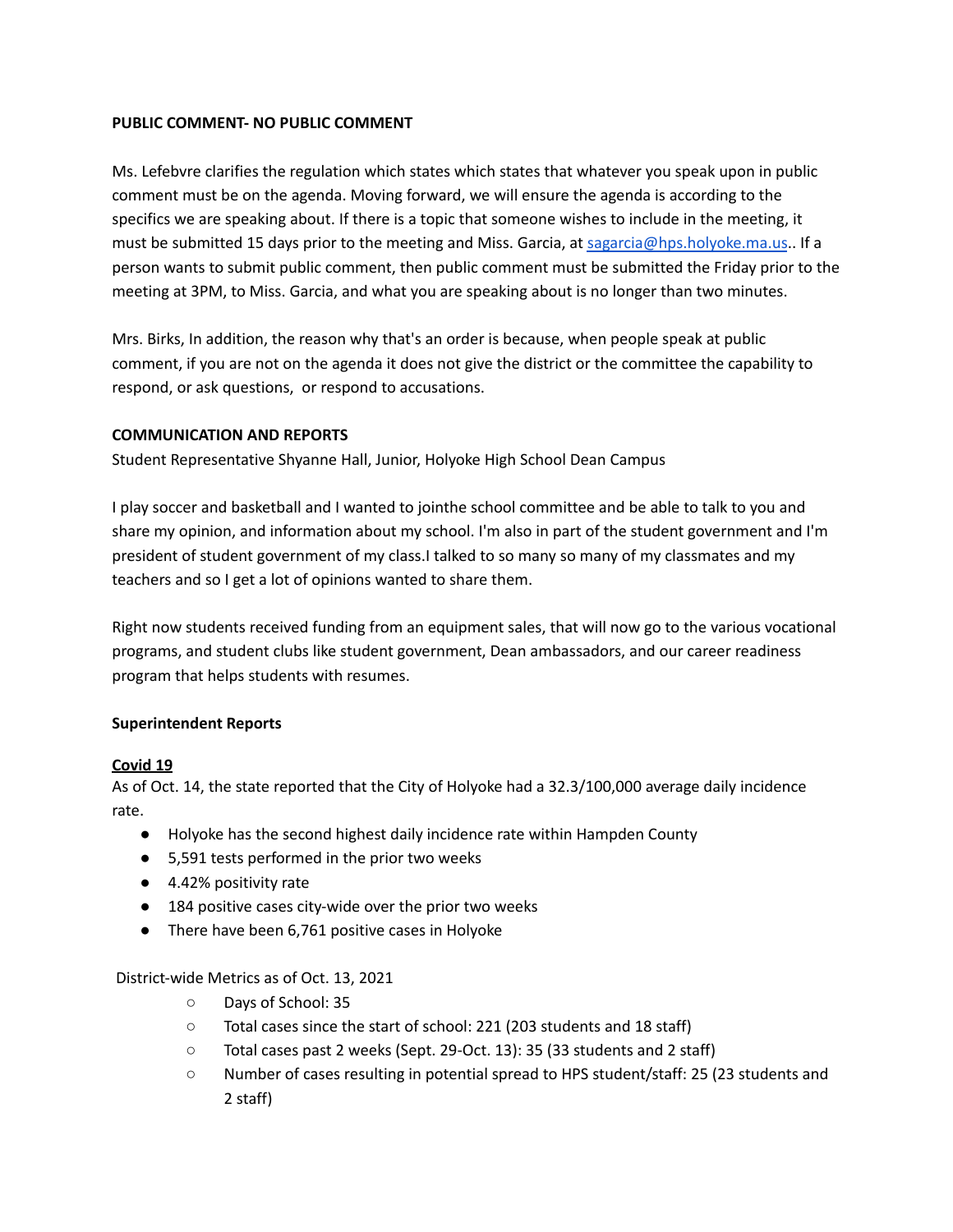# **PUBLIC COMMENT- NO PUBLIC COMMENT**

Ms. Lefebvre clarifies the regulation which states which states that whatever you speak upon in public comment must be on the agenda. Moving forward, we will ensure the agenda is according to the specifics we are speaking about. If there is a topic that someone wishes to include in the meeting, it must be submitted 15 days prior to the meeting and Miss. Garcia, at [sagarcia@hps.holyoke.ma.us](mailto:sagarcia@hps.holyoke.ma.us).. If a person wants to submit public comment, then public comment must be submitted the Friday prior to the meeting at 3PM, to Miss. Garcia, and what you are speaking about is no longer than two minutes.

Mrs. Birks, In addition, the reason why that's an order is because, when people speak at public comment, if you are not on the agenda it does not give the district or the committee the capability to respond, or ask questions, or respond to accusations.

# **COMMUNICATION AND REPORTS**

Student Representative Shyanne Hall, Junior, Holyoke High School Dean Campus

I play soccer and basketball and I wanted to jointhe school committee and be able to talk to you and share my opinion, and information about my school. I'm also in part of the student government and I'm president of student government of my class.I talked to so many so many of my classmates and my teachers and so I get a lot of opinions wanted to share them.

Right now students received funding from an equipment sales, that will now go to the various vocational programs, and student clubs like student government, Dean ambassadors, and our career readiness program that helps students with resumes.

# **Superintendent Reports**

# **Covid 19**

As of Oct. 14, the state reported that the City of Holyoke had a 32.3/100,000 average daily incidence rate.

- Holyoke has the second highest daily incidence rate within Hampden County
- 5,591 tests performed in the prior two weeks
- 4.42% positivity rate
- 184 positive cases city-wide over the prior two weeks
- There have been 6,761 positive cases in Holyoke

# District-wide Metrics as of Oct. 13, 2021

- Days of School: 35
- Total cases since the start of school: 221 (203 students and 18 staff)
- Total cases past 2 weeks (Sept. 29-Oct. 13): 35 (33 students and 2 staff)
- Number of cases resulting in potential spread to HPS student/staff: 25 (23 students and 2 staff)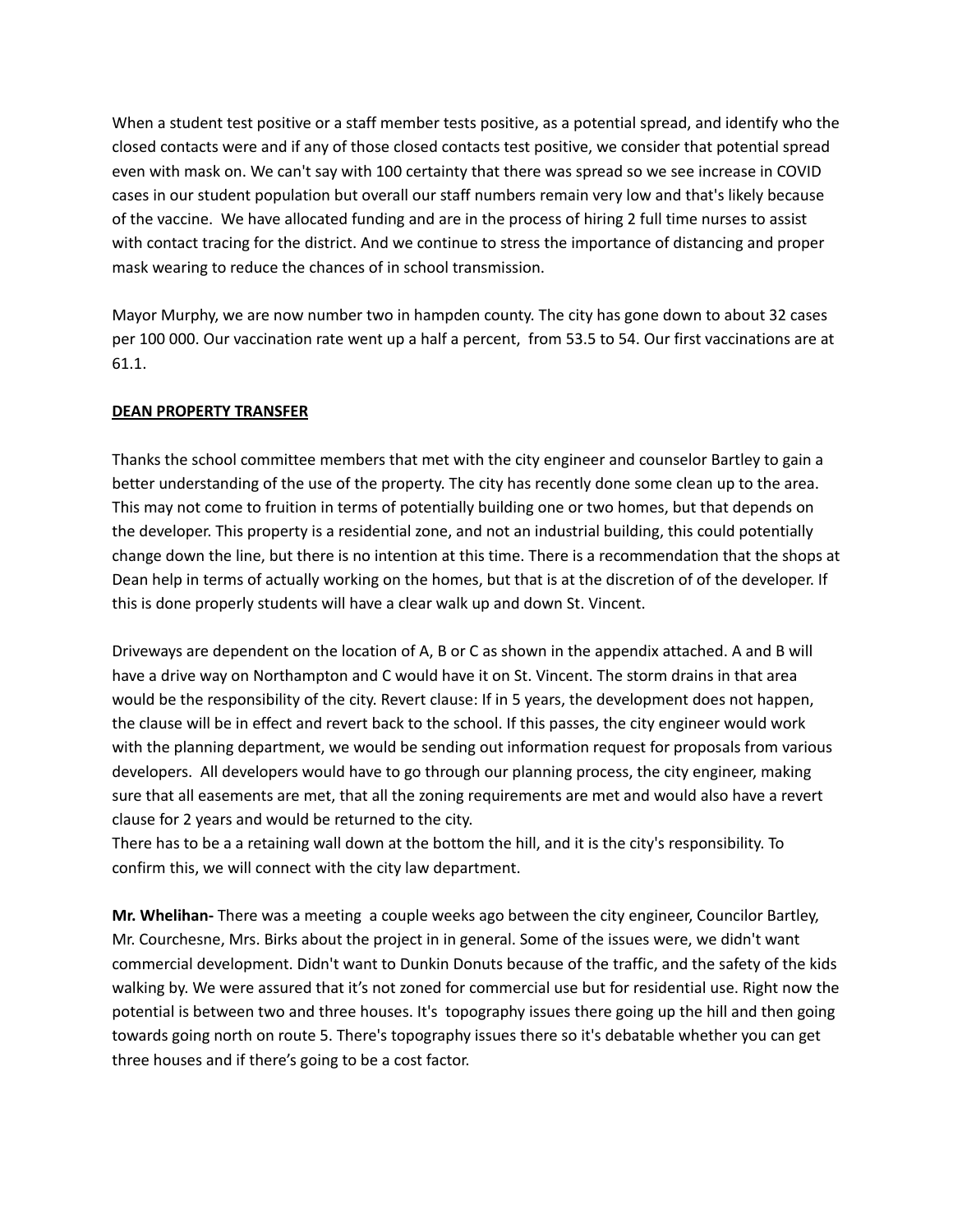When a student test positive or a staff member tests positive, as a potential spread, and identify who the closed contacts were and if any of those closed contacts test positive, we consider that potential spread even with mask on. We can't say with 100 certainty that there was spread so we see increase in COVID cases in our student population but overall our staff numbers remain very low and that's likely because of the vaccine. We have allocated funding and are in the process of hiring 2 full time nurses to assist with contact tracing for the district. And we continue to stress the importance of distancing and proper mask wearing to reduce the chances of in school transmission.

Mayor Murphy, we are now number two in hampden county. The city has gone down to about 32 cases per 100 000. Our vaccination rate went up a half a percent, from 53.5 to 54. Our first vaccinations are at 61.1.

# **DEAN PROPERTY TRANSFER**

Thanks the school committee members that met with the city engineer and counselor Bartley to gain a better understanding of the use of the property. The city has recently done some clean up to the area. This may not come to fruition in terms of potentially building one or two homes, but that depends on the developer. This property is a residential zone, and not an industrial building, this could potentially change down the line, but there is no intention at this time. There is a recommendation that the shops at Dean help in terms of actually working on the homes, but that is at the discretion of of the developer. If this is done properly students will have a clear walk up and down St. Vincent.

Driveways are dependent on the location of A, B or C as shown in the appendix attached. A and B will have a drive way on Northampton and C would have it on St. Vincent. The storm drains in that area would be the responsibility of the city. Revert clause: If in 5 years, the development does not happen, the clause will be in effect and revert back to the school. If this passes, the city engineer would work with the planning department, we would be sending out information request for proposals from various developers. All developers would have to go through our planning process, the city engineer, making sure that all easements are met, that all the zoning requirements are met and would also have a revert clause for 2 years and would be returned to the city.

There has to be a a retaining wall down at the bottom the hill, and it is the city's responsibility. To confirm this, we will connect with the city law department.

**Mr. Whelihan-** There was a meeting a couple weeks ago between the city engineer, Councilor Bartley, Mr. Courchesne, Mrs. Birks about the project in in general. Some of the issues were, we didn't want commercial development. Didn't want to Dunkin Donuts because of the traffic, and the safety of the kids walking by. We were assured that it's not zoned for commercial use but for residential use. Right now the potential is between two and three houses. It's topography issues there going up the hill and then going towards going north on route 5. There's topography issues there so it's debatable whether you can get three houses and if there's going to be a cost factor.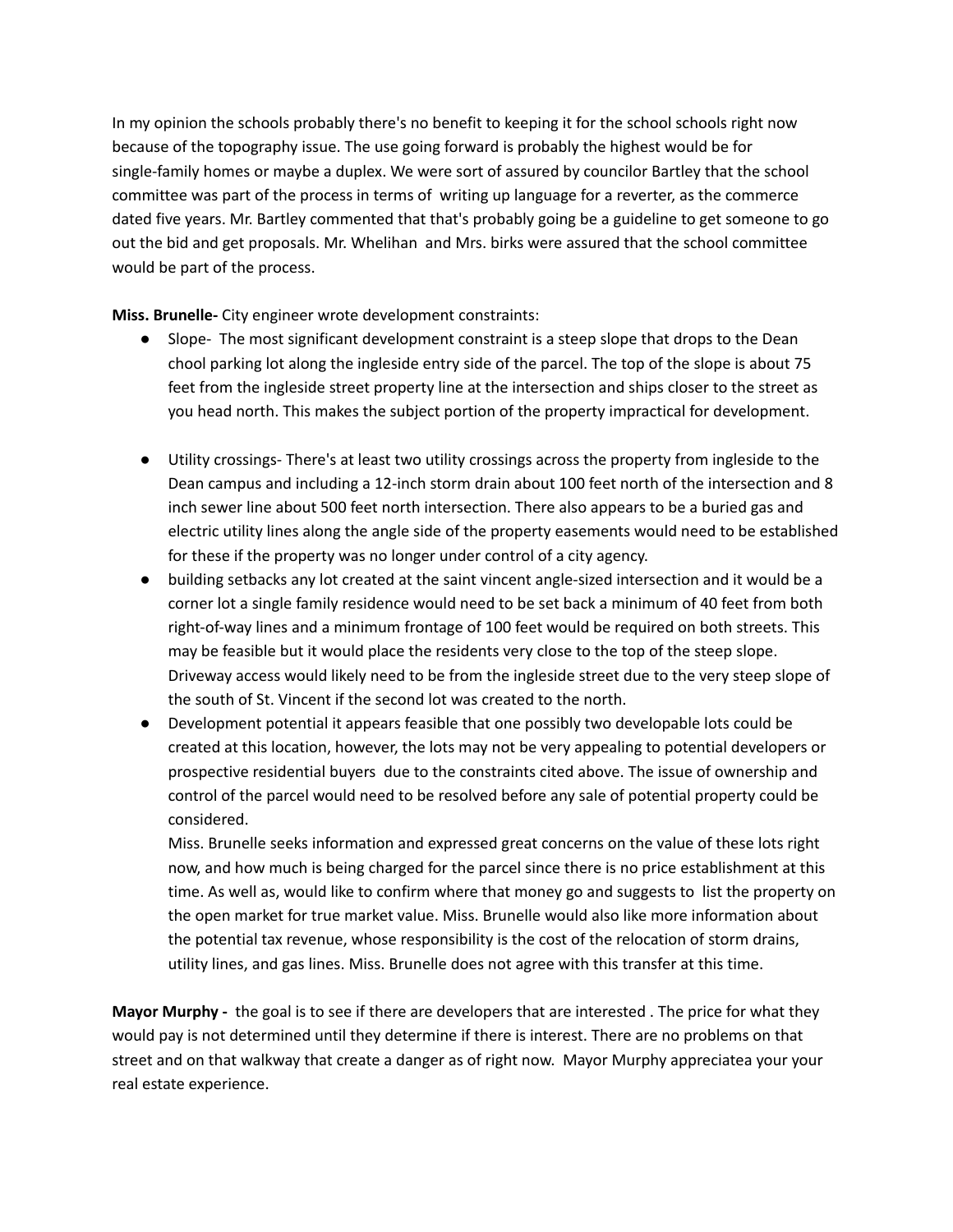In my opinion the schools probably there's no benefit to keeping it for the school schools right now because of the topography issue. The use going forward is probably the highest would be for single-family homes or maybe a duplex. We were sort of assured by councilor Bartley that the school committee was part of the process in terms of writing up language for a reverter, as the commerce dated five years. Mr. Bartley commented that that's probably going be a guideline to get someone to go out the bid and get proposals. Mr. Whelihan and Mrs. birks were assured that the school committee would be part of the process.

**Miss. Brunelle-** City engineer wrote development constraints:

- Slope- The most significant development constraint is a steep slope that drops to the Dean chool parking lot along the ingleside entry side of the parcel. The top of the slope is about 75 feet from the ingleside street property line at the intersection and ships closer to the street as you head north. This makes the subject portion of the property impractical for development.
- Utility crossings- There's at least two utility crossings across the property from ingleside to the Dean campus and including a 12-inch storm drain about 100 feet north of the intersection and 8 inch sewer line about 500 feet north intersection. There also appears to be a buried gas and electric utility lines along the angle side of the property easements would need to be established for these if the property was no longer under control of a city agency.
- building setbacks any lot created at the saint vincent angle-sized intersection and it would be a corner lot a single family residence would need to be set back a minimum of 40 feet from both right-of-way lines and a minimum frontage of 100 feet would be required on both streets. This may be feasible but it would place the residents very close to the top of the steep slope. Driveway access would likely need to be from the ingleside street due to the very steep slope of the south of St. Vincent if the second lot was created to the north.
- Development potential it appears feasible that one possibly two developable lots could be created at this location, however, the lots may not be very appealing to potential developers or prospective residential buyers due to the constraints cited above. The issue of ownership and control of the parcel would need to be resolved before any sale of potential property could be considered.

Miss. Brunelle seeks information and expressed great concerns on the value of these lots right now, and how much is being charged for the parcel since there is no price establishment at this time. As well as, would like to confirm where that money go and suggests to list the property on the open market for true market value. Miss. Brunelle would also like more information about the potential tax revenue, whose responsibility is the cost of the relocation of storm drains, utility lines, and gas lines. Miss. Brunelle does not agree with this transfer at this time.

**Mayor Murphy -** the goal is to see if there are developers that are interested . The price for what they would pay is not determined until they determine if there is interest. There are no problems on that street and on that walkway that create a danger as of right now. Mayor Murphy appreciatea your your real estate experience.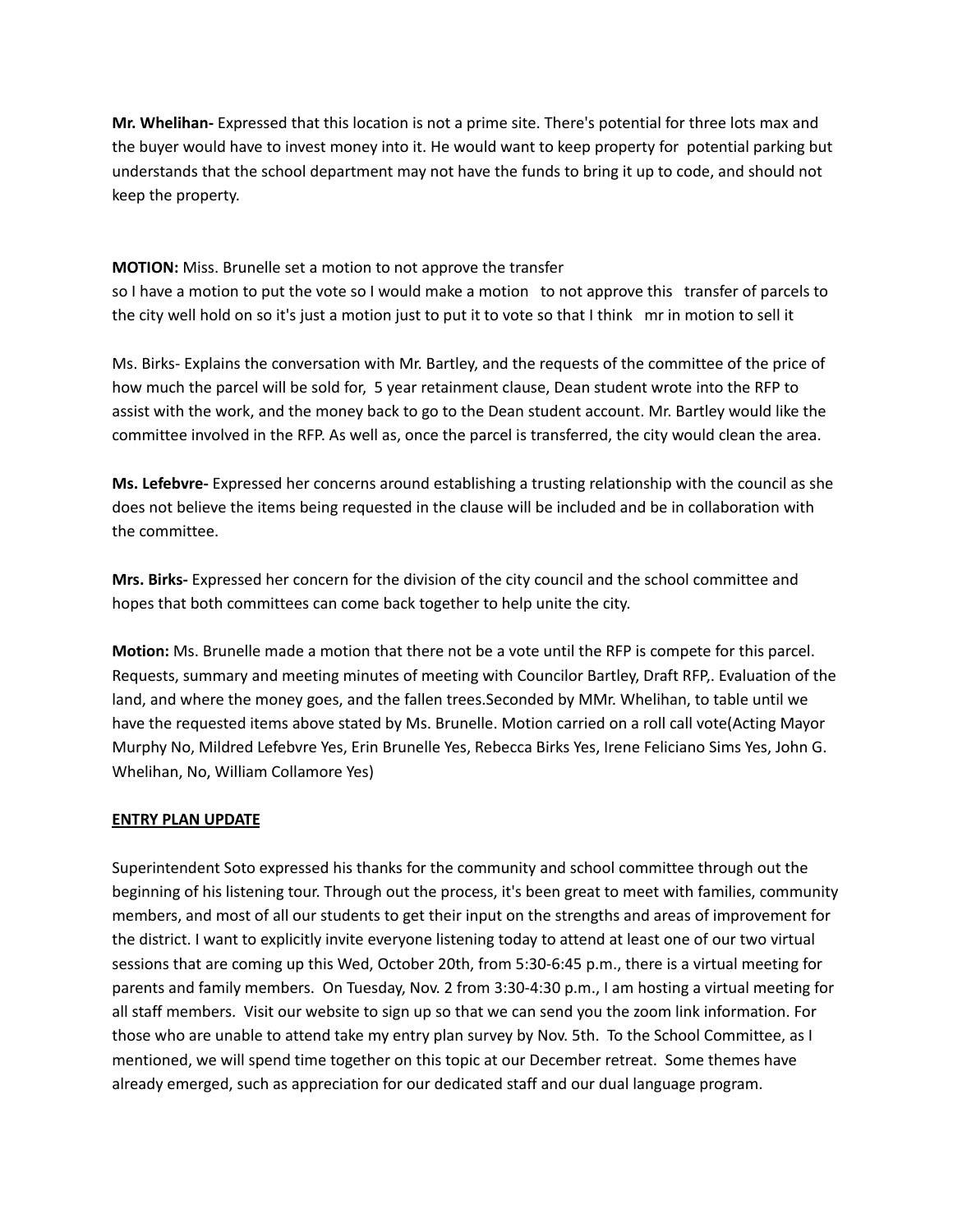**Mr. Whelihan-** Expressed that this location is not a prime site. There's potential for three lots max and the buyer would have to invest money into it. He would want to keep property for potential parking but understands that the school department may not have the funds to bring it up to code, and should not keep the property.

**MOTION:** Miss. Brunelle set a motion to not approve the transfer

so I have a motion to put the vote so I would make a motion to not approve this transfer of parcels to the city well hold on so it's just a motion just to put it to vote so that I think mr in motion to sell it

Ms. Birks- Explains the conversation with Mr. Bartley, and the requests of the committee of the price of how much the parcel will be sold for, 5 year retainment clause, Dean student wrote into the RFP to assist with the work, and the money back to go to the Dean student account. Mr. Bartley would like the committee involved in the RFP. As well as, once the parcel is transferred, the city would clean the area.

**Ms. Lefebvre-** Expressed her concerns around establishing a trusting relationship with the council as she does not believe the items being requested in the clause will be included and be in collaboration with the committee.

**Mrs. Birks-** Expressed her concern for the division of the city council and the school committee and hopes that both committees can come back together to help unite the city.

**Motion:** Ms. Brunelle made a motion that there not be a vote until the RFP is compete for this parcel. Requests, summary and meeting minutes of meeting with Councilor Bartley, Draft RFP,. Evaluation of the land, and where the money goes, and the fallen trees.Seconded by MMr. Whelihan, to table until we have the requested items above stated by Ms. Brunelle. Motion carried on a roll call vote(Acting Mayor Murphy No, Mildred Lefebvre Yes, Erin Brunelle Yes, Rebecca Birks Yes, Irene Feliciano Sims Yes, John G. Whelihan, No, William Collamore Yes)

# **ENTRY PLAN UPDATE**

Superintendent Soto expressed his thanks for the community and school committee through out the beginning of his listening tour. Through out the process, it's been great to meet with families, community members, and most of all our students to get their input on the strengths and areas of improvement for the district. I want to explicitly invite everyone listening today to attend at least one of our two virtual sessions that are coming up this Wed, October 20th, from 5:30-6:45 p.m., there is a virtual meeting for parents and family members. On Tuesday, Nov. 2 from 3:30-4:30 p.m., I am hosting a virtual meeting for all staff members. Visit our website to sign up so that we can send you the zoom link information. For those who are unable to attend take my entry plan survey by Nov. 5th. To the School Committee, as I mentioned, we will spend time together on this topic at our December retreat. Some themes have already emerged, such as appreciation for our dedicated staff and our dual language program.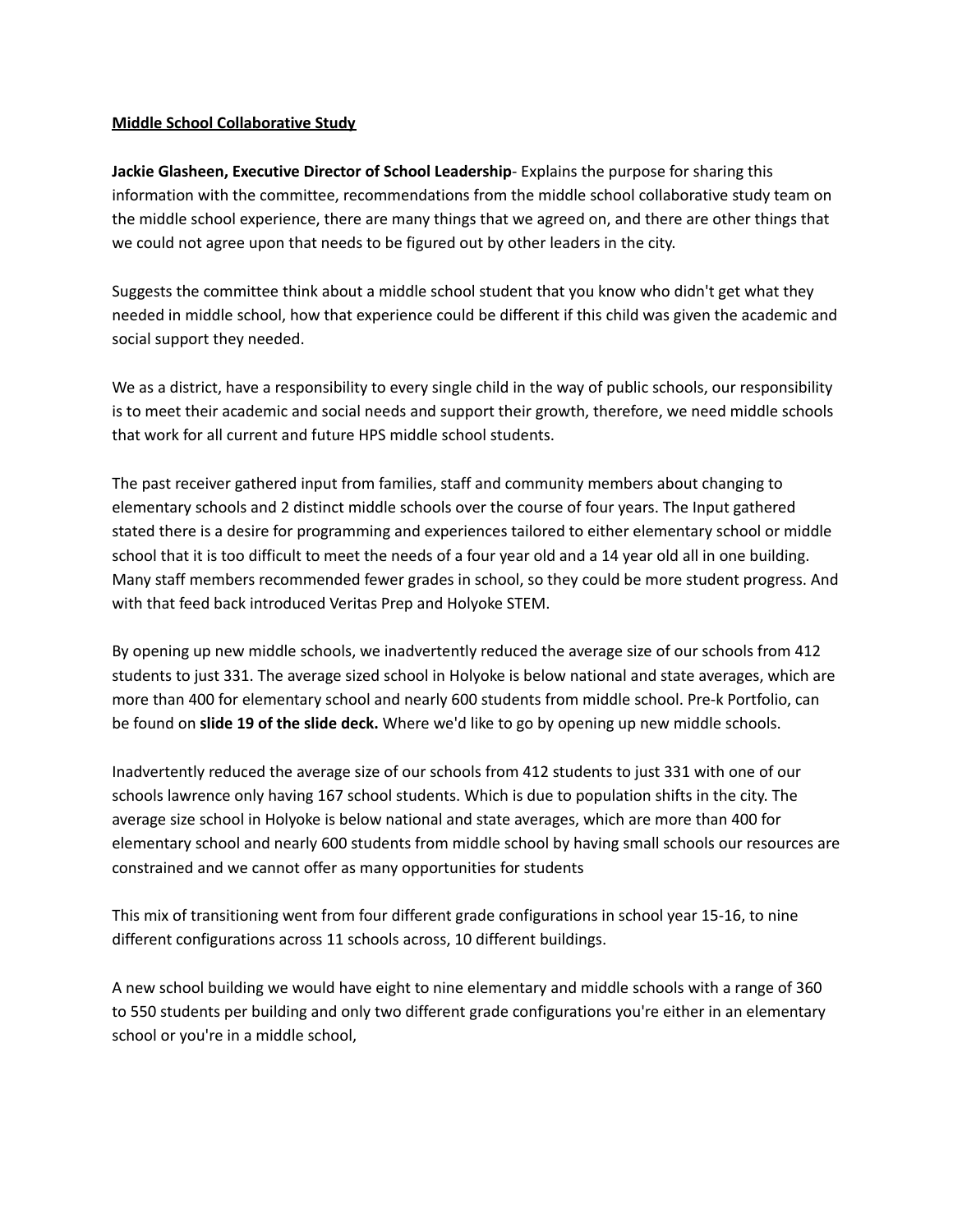#### **Middle School Collaborative Study**

**Jackie Glasheen, Executive Director of School Leadership**- Explains the purpose for sharing this information with the committee, recommendations from the middle school collaborative study team on the middle school experience, there are many things that we agreed on, and there are other things that we could not agree upon that needs to be figured out by other leaders in the city.

Suggests the committee think about a middle school student that you know who didn't get what they needed in middle school, how that experience could be different if this child was given the academic and social support they needed.

We as a district, have a responsibility to every single child in the way of public schools, our responsibility is to meet their academic and social needs and support their growth, therefore, we need middle schools that work for all current and future HPS middle school students.

The past receiver gathered input from families, staff and community members about changing to elementary schools and 2 distinct middle schools over the course of four years. The Input gathered stated there is a desire for programming and experiences tailored to either elementary school or middle school that it is too difficult to meet the needs of a four year old and a 14 year old all in one building. Many staff members recommended fewer grades in school, so they could be more student progress. And with that feed back introduced Veritas Prep and Holyoke STEM.

By opening up new middle schools, we inadvertently reduced the average size of our schools from 412 students to just 331. The average sized school in Holyoke is below national and state averages, which are more than 400 for elementary school and nearly 600 students from middle school. Pre-k Portfolio, can be found on **slide 19 of the slide deck.** Where we'd like to go by opening up new middle schools.

Inadvertently reduced the average size of our schools from 412 students to just 331 with one of our schools lawrence only having 167 school students. Which is due to population shifts in the city. The average size school in Holyoke is below national and state averages, which are more than 400 for elementary school and nearly 600 students from middle school by having small schools our resources are constrained and we cannot offer as many opportunities for students

This mix of transitioning went from four different grade configurations in school year 15-16, to nine different configurations across 11 schools across, 10 different buildings.

A new school building we would have eight to nine elementary and middle schools with a range of 360 to 550 students per building and only two different grade configurations you're either in an elementary school or you're in a middle school,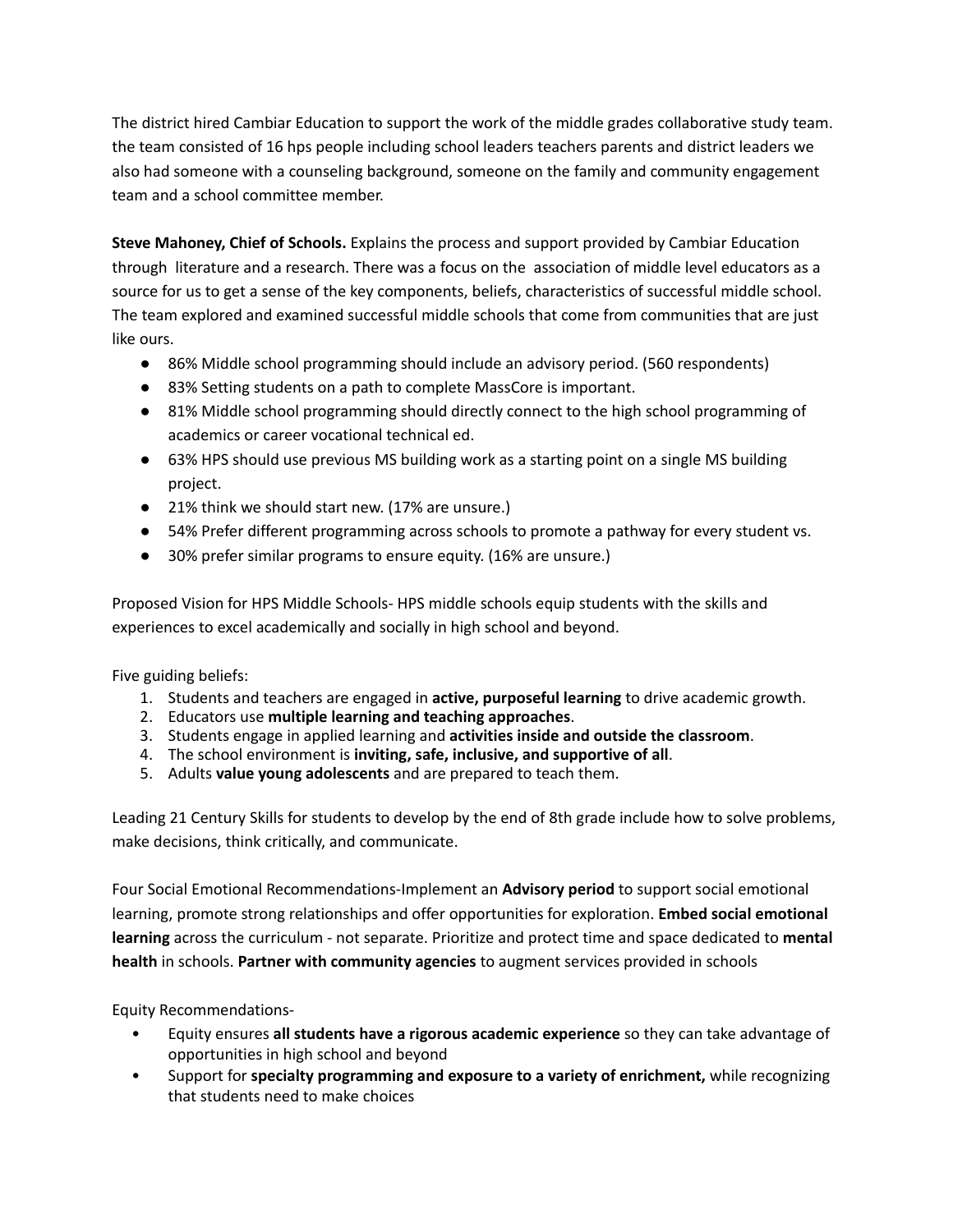The district hired Cambiar Education to support the work of the middle grades collaborative study team. the team consisted of 16 hps people including school leaders teachers parents and district leaders we also had someone with a counseling background, someone on the family and community engagement team and a school committee member.

**Steve Mahoney, Chief of Schools.** Explains the process and support provided by Cambiar Education through literature and a research. There was a focus on the association of middle level educators as a source for us to get a sense of the key components, beliefs, characteristics of successful middle school. The team explored and examined successful middle schools that come from communities that are just like ours.

- 86% Middle school programming should include an advisory period. (560 respondents)
- 83% Setting students on a path to complete MassCore is important.
- 81% Middle school programming should directly connect to the high school programming of academics or career vocational technical ed.
- 63% HPS should use previous MS building work as a starting point on a single MS building project.
- 21% think we should start new. (17% are unsure.)
- 54% Prefer different programming across schools to promote a pathway for every student vs.
- 30% prefer similar programs to ensure equity. (16% are unsure.)

Proposed Vision for HPS Middle Schools- HPS middle schools equip students with the skills and experiences to excel academically and socially in high school and beyond.

Five guiding beliefs:

- 1. Students and teachers are engaged in **active, purposeful learning** to drive academic growth.
- 2. Educators use **multiple learning and teaching approaches**.
- 3. Students engage in applied learning and **activities inside and outside the classroom**.
- 4. The school environment is **inviting, safe, inclusive, and supportive of all**.
- 5. Adults **value young adolescents** and are prepared to teach them.

Leading 21 Century Skills for students to develop by the end of 8th grade include how to solve problems, make decisions, think critically, and communicate.

Four Social Emotional Recommendations-Implement an **Advisory period** to support social emotional learning, promote strong relationships and offer opportunities for exploration. **Embed social emotional learning** across the curriculum - not separate. Prioritize and protect time and space dedicated to **mental health** in schools. **Partner with community agencies** to augment services provided in schools

Equity Recommendations-

- Equity ensures **all students have a rigorous academic experience** so they can take advantage of opportunities in high school and beyond
- Support for **specialty programming and exposure to a variety of enrichment,** while recognizing that students need to make choices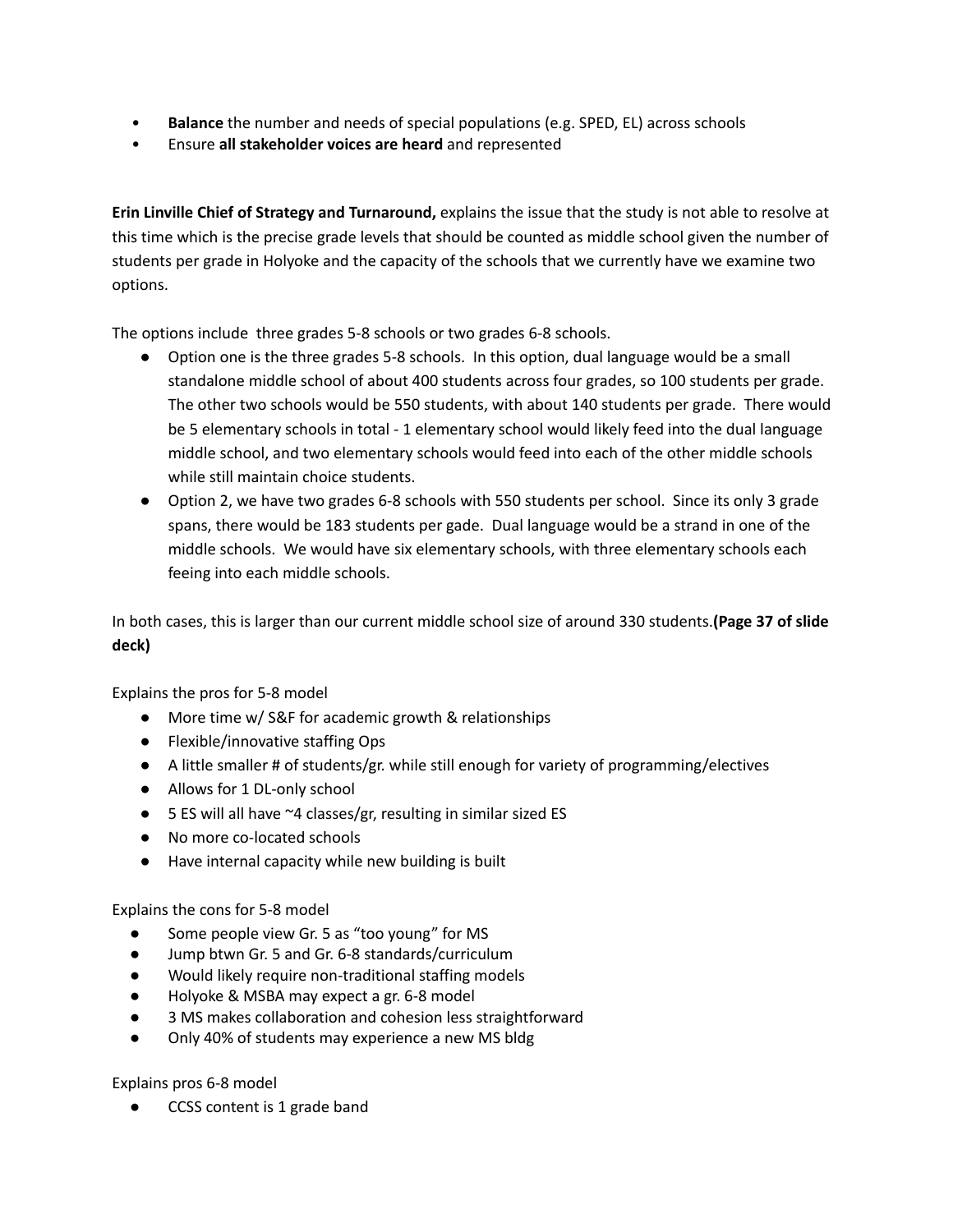- **Balance** the number and needs of special populations (e.g. SPED, EL) across schools
- Ensure **all stakeholder voices are heard** and represented

**Erin Linville Chief of Strategy and Turnaround,** explains the issue that the study is not able to resolve at this time which is the precise grade levels that should be counted as middle school given the number of students per grade in Holyoke and the capacity of the schools that we currently have we examine two options.

The options include three grades 5-8 schools or two grades 6-8 schools.

- Option one is the three grades 5-8 schools. In this option, dual language would be a small standalone middle school of about 400 students across four grades, so 100 students per grade. The other two schools would be 550 students, with about 140 students per grade. There would be 5 elementary schools in total - 1 elementary school would likely feed into the dual language middle school, and two elementary schools would feed into each of the other middle schools while still maintain choice students.
- Option 2, we have two grades 6-8 schools with 550 students per school. Since its only 3 grade spans, there would be 183 students per gade. Dual language would be a strand in one of the middle schools. We would have six elementary schools, with three elementary schools each feeing into each middle schools.

In both cases, this is larger than our current middle school size of around 330 students.**(Page 37 of slide deck)**

Explains the pros for 5-8 model

- More time w/ S&F for academic growth & relationships
- Flexible/innovative staffing Ops
- A little smaller # of students/gr. while still enough for variety of programming/electives
- Allows for 1 DL-only school
- 5 ES will all have ~4 classes/gr, resulting in similar sized ES
- No more co-located schools
- Have internal capacity while new building is built

Explains the cons for 5-8 model

- Some people view Gr. 5 as "too young" for MS
- Jump btwn Gr. 5 and Gr. 6-8 standards/curriculum
- Would likely require non-traditional staffing models
- Holyoke & MSBA may expect a gr. 6-8 model
- 3 MS makes collaboration and cohesion less straightforward
- Only 40% of students may experience a new MS bldg

Explains pros 6-8 model

CCSS content is 1 grade band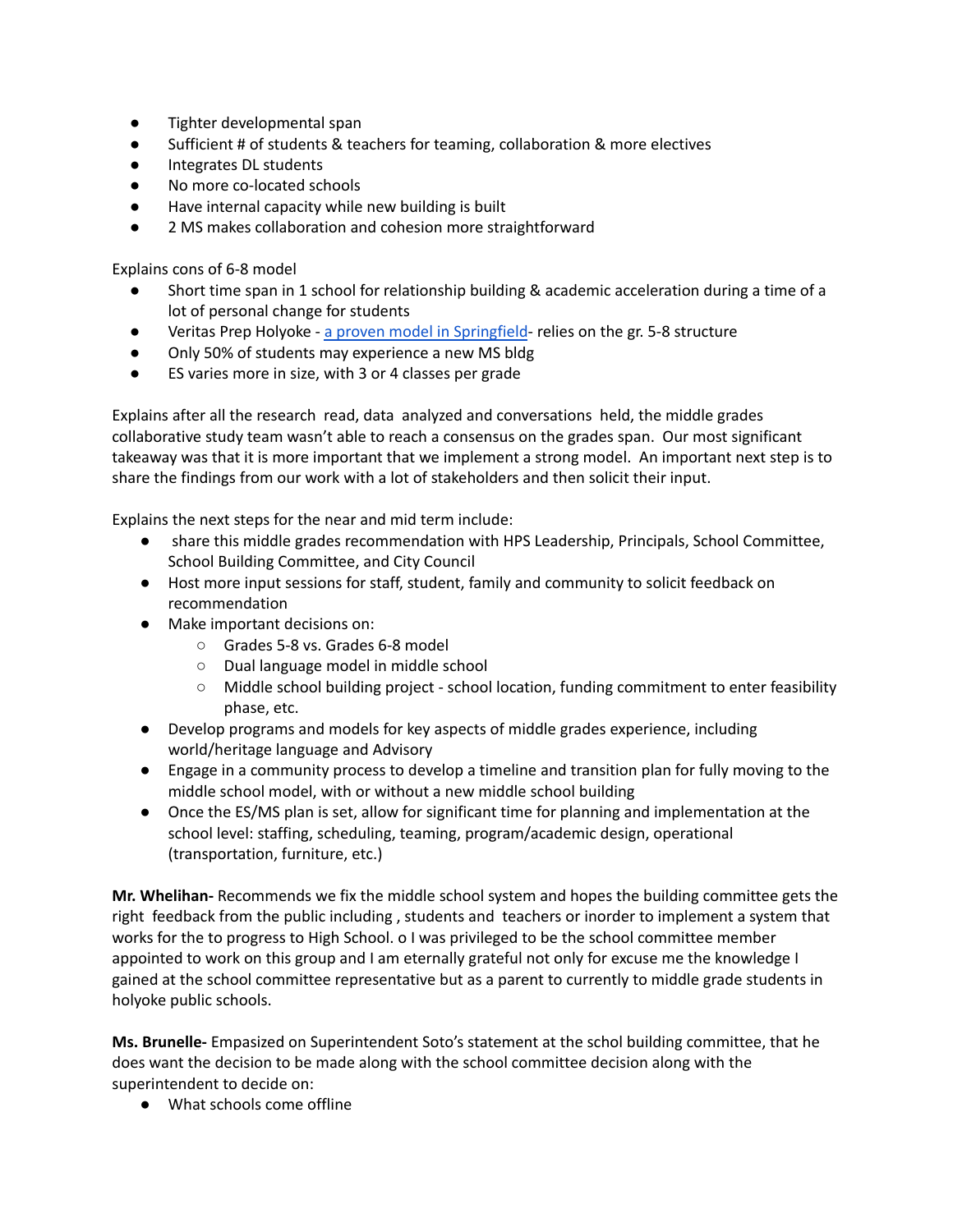- Tighter developmental span
- Sufficient # of students & teachers for teaming, collaboration & more electives
- Integrates DL students
- No more co-located schools
- Have internal capacity while new building is built
- 2 MS makes collaboration and cohesion more straightforward

Explains cons of 6-8 model

- Short time span in 1 school for relationship building & academic acceleration during a time of a lot of personal change for students
- Veritas Prep Holyoke a proven model in [Springfield](https://profiles.doe.mass.edu/mcas/mcascharts2.aspx?linkid=33&orgcode=04980000&fycode=2021&orgtypecode=5&) relies on the gr. 5-8 structure
- Only 50% of students may experience a new MS bldg
- ES varies more in size, with 3 or 4 classes per grade

Explains after all the research read, data analyzed and conversations held, the middle grades collaborative study team wasn't able to reach a consensus on the grades span. Our most significant takeaway was that it is more important that we implement a strong model. An important next step is to share the findings from our work with a lot of stakeholders and then solicit their input.

Explains the next steps for the near and mid term include:

- share this middle grades recommendation with HPS Leadership, Principals, School Committee, School Building Committee, and City Council
- Host more input sessions for staff, student, family and community to solicit feedback on recommendation
- Make important decisions on:
	- Grades 5-8 vs. Grades 6-8 model
	- Dual language model in middle school
	- Middle school building project school location, funding commitment to enter feasibility phase, etc.
- Develop programs and models for key aspects of middle grades experience, including world/heritage language and Advisory
- Engage in a community process to develop a timeline and transition plan for fully moving to the middle school model, with or without a new middle school building
- Once the ES/MS plan is set, allow for significant time for planning and implementation at the school level: staffing, scheduling, teaming, program/academic design, operational (transportation, furniture, etc.)

**Mr. Whelihan-** Recommends we fix the middle school system and hopes the building committee gets the right feedback from the public including , students and teachers or inorder to implement a system that works for the to progress to High School. o I was privileged to be the school committee member appointed to work on this group and I am eternally grateful not only for excuse me the knowledge I gained at the school committee representative but as a parent to currently to middle grade students in holyoke public schools.

**Ms. Brunelle-** Empasized on Superintendent Soto's statement at the schol building committee, that he does want the decision to be made along with the school committee decision along with the superintendent to decide on:

● What schools come offline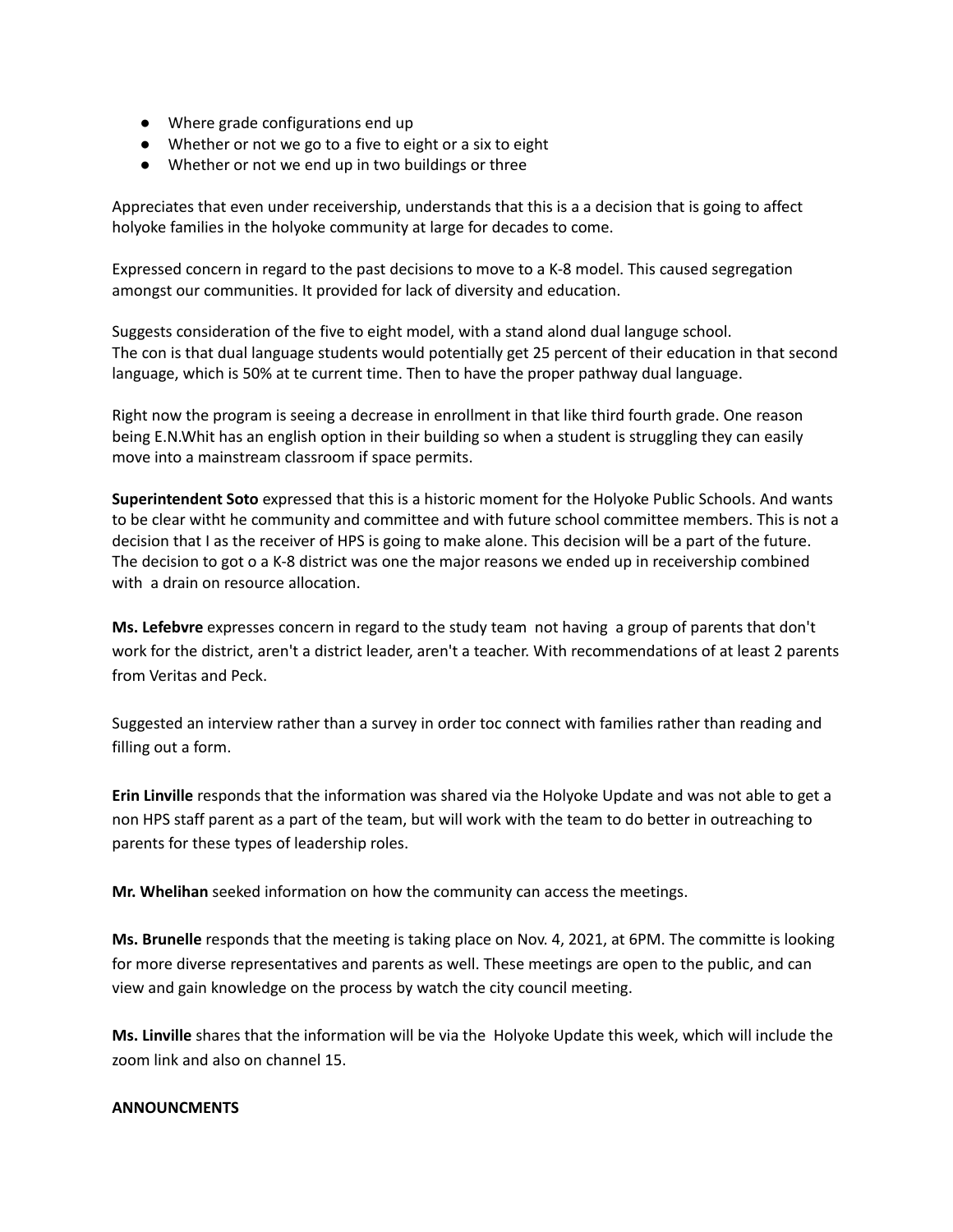- Where grade configurations end up
- Whether or not we go to a five to eight or a six to eight
- Whether or not we end up in two buildings or three

Appreciates that even under receivership, understands that this is a a decision that is going to affect holyoke families in the holyoke community at large for decades to come.

Expressed concern in regard to the past decisions to move to a K-8 model. This caused segregation amongst our communities. It provided for lack of diversity and education.

Suggests consideration of the five to eight model, with a stand alond dual languge school. The con is that dual language students would potentially get 25 percent of their education in that second language, which is 50% at te current time. Then to have the proper pathway dual language.

Right now the program is seeing a decrease in enrollment in that like third fourth grade. One reason being E.N.Whit has an english option in their building so when a student is struggling they can easily move into a mainstream classroom if space permits.

**Superintendent Soto** expressed that this is a historic moment for the Holyoke Public Schools. And wants to be clear witht he community and committee and with future school committee members. This is not a decision that I as the receiver of HPS is going to make alone. This decision will be a part of the future. The decision to got o a K-8 district was one the major reasons we ended up in receivership combined with a drain on resource allocation.

**Ms. Lefebvre** expresses concern in regard to the study team not having a group of parents that don't work for the district, aren't a district leader, aren't a teacher. With recommendations of at least 2 parents from Veritas and Peck.

Suggested an interview rather than a survey in order toc connect with families rather than reading and filling out a form.

**Erin Linville** responds that the information was shared via the Holyoke Update and was not able to get a non HPS staff parent as a part of the team, but will work with the team to do better in outreaching to parents for these types of leadership roles.

**Mr. Whelihan** seeked information on how the community can access the meetings.

**Ms. Brunelle** responds that the meeting is taking place on Nov. 4, 2021, at 6PM. The committe is looking for more diverse representatives and parents as well. These meetings are open to the public, and can view and gain knowledge on the process by watch the city council meeting.

**Ms. Linville** shares that the information will be via the Holyoke Update this week, which will include the zoom link and also on channel 15.

# **ANNOUNCMENTS**